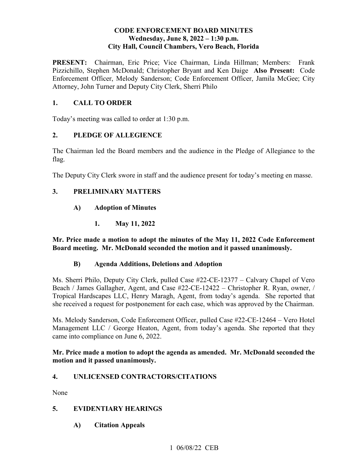### **CODE ENFORCEMENT BOARD MINUTES**  Wednesday, June 8, 2022 - 1:30 p.m. **City Hall, Council Chambers, Vero Beach, Florida**

**PRESENT:**  Pizzichillo, Stephen McDonald; Christopher Bryant and Ken Daige **Also Present:** Code **PRESENT:** Chairman, Eric Price; Vice Chairman, Linda Hillman; Members: Frank Enforcement Officer, Melody Sanderson; Code Enforcement Officer, Jamila McGee; City Attorney, John Turner and Deputy City Clerk, Sherri Philo

# **1. CALL TO ORDER**

Today's meeting was called to order at 1:30 p.m.

## **2. PLEDGE OF ALLEGIENCE**

The Chairman led the Board members and the audience in the Pledge of Allegiance to the flag.

The Deputy City Clerk swore in staff and the audience present for today's meeting en masse.

### **3. PRELIMINARY MATTERS**

- **A) Adoption of Minutes** 
	- **1. May 11, 2022**

 **Mr. Price made a motion to adopt the minutes of the May 11, 2022 Code Enforcement Board meeting. Mr. McDonald seconded the motion and it passed unanimously.** 

### **B) Agenda Additions, Deletions and Adoption**

 Ms. Sherri Philo, Deputy City Clerk, pulled Case #22-CE-12377 – Calvary Chapel of Vero she received a request for postponement for each case, which was approved by the Chairman. Beach / James Gallagher, Agent, and Case #22-CE-12422 – Christopher R. Ryan, owner, / Tropical Hardscapes LLC, Henry Maragh, Agent, from today's agenda. She reported that

Ms. Melody Sanderson, Code Enforcement Officer, pulled Case #22-CE-12464 – Vero Hotel Management LLC / George Heaton, Agent, from today's agenda. She reported that they came into compliance on June 6, 2022.

#### **Mr. Price made a motion to adopt the agenda as amended. Mr. McDonald seconded the motion and it passed unanimously.**

### **4. UNLICENSED CONTRACTORS/CITATIONS**

None

### **5. EVIDENTIARY HEARINGS**

**A) Citation Appeals**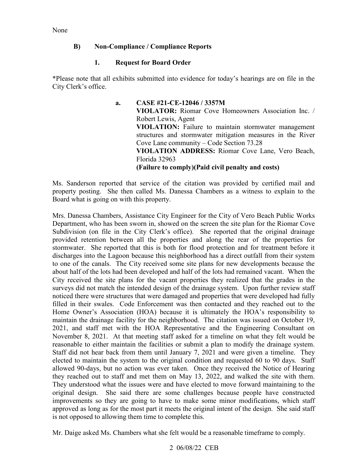None

### **B) Non-Compliance / Compliance Reports**

## **1. Request for Board Order**

\*Please note that all exhibits submitted into evidence for today's hearings are on file in the City Clerk's office.

> Cove Lane community – Code Section 73.28 **a. CASE #21-CE-12046 / 3357M VIOLATOR:** Riomar Cove Homeowners Association Inc. / Robert Lewis, Agent **VIOLATION:** Failure to maintain stormwater management structures and stormwater mitigation measures in the River **VIOLATION ADDRESS:** Riomar Cove Lane, Vero Beach, Florida 32963 **(Failure to comply)(Paid civil penalty and costs)**

 property posting. She then called Ms. Danessa Chambers as a witness to explain to the Ms. Sanderson reported that service of the citation was provided by certified mail and Board what is going on with this property.

 provided retention between all the properties and along the rear of the properties for November 8, 2021. At that meeting staff asked for a timeline on what they felt would be reasonable to either maintain the facilities or submit a plan to modify the drainage system. they reached out to staff and met them on May 13, 2022, and walked the site with them. they reached out to staff and met them on May 13, 2022, and walked the site with them. They understood what the issues were and have elected to move forward maintaining to the original design. She said there are some challenges because people have constructed improvements so they are going to have to make some minor modifications, which staff is not opposed to allowing them time to complete this. Mrs. Danessa Chambers, Assistance City Engineer for the City of Vero Beach Public Works Department, who has been sworn in, showed on the screen the site plan for the Riomar Cove Subdivision (on file in the City Clerk's office). She reported that the original drainage stormwater. She reported that this is both for flood protection and for treatment before it discharges into the Lagoon because this neighborhood has a direct outfall from their system to one of the canals. The City received some site plans for new developments because the about half of the lots had been developed and half of the lots had remained vacant. When the City received the site plans for the vacant properties they realized that the grades in the surveys did not match the intended design of the drainage system. Upon further review staff noticed there were structures that were damaged and properties that were developed had fully filled in their swales. Code Enforcement was then contacted and they reached out to the Home Owner's Association (HOA) because it is ultimately the HOA's responsibility to maintain the drainage facility for the neighborhood. The citation was issued on October 19, 2021, and staff met with the HOA Representative and the Engineering Consultant on Staff did not hear back from them until January 7, 2021 and were given a timeline. They elected to maintain the system to the original condition and requested 60 to 90 days. Staff allowed 90-days, but no action was ever taken. Once they received the Notice of Hearing approved as long as for the most part it meets the original intent of the design. She said staff

Mr. Daige asked Ms. Chambers what she felt would be a reasonable timeframe to comply.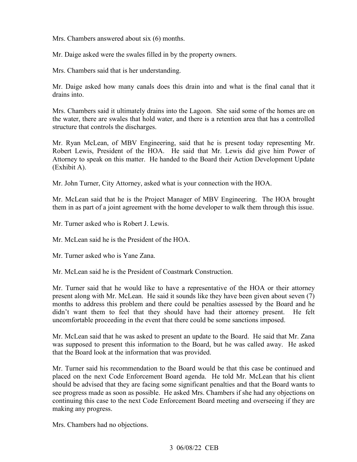Mrs. Chambers answered about six (6) months.

Mr. Daige asked were the swales filled in by the property owners.

Mrs. Chambers said that is her understanding.

Mr. Daige asked how many canals does this drain into and what is the final canal that it drains into.

 the water, there are swales that hold water, and there is a retention area that has a controlled Mrs. Chambers said it ultimately drains into the Lagoon. She said some of the homes are on structure that controls the discharges.

Mr. Ryan McLean, of MBV Engineering, said that he is present today representing Mr. Robert Lewis, President of the HOA. He said that Mr. Lewis did give him Power of Attorney to speak on this matter. He handed to the Board their Action Development Update (Exhibit A).

Mr. John Turner, City Attorney, asked what is your connection with the HOA.

Mr. McLean said that he is the Project Manager of MBV Engineering. The HOA brought them in as part of a joint agreement with the home developer to walk them through this issue.

Mr. Turner asked who is Robert J. Lewis.

Mr. McLean said he is the President of the HOA.

Mr. Turner asked who is Yane Zana.

Mr. McLean said he is the President of Coastmark Construction.

Mr. Turner said that he would like to have a representative of the HOA or their attorney present along with Mr. McLean. He said it sounds like they have been given about seven (7) months to address this problem and there could be penalties assessed by the Board and he didn't want them to feel that they should have had their attorney present. He felt uncomfortable proceeding in the event that there could be some sanctions imposed.

 Mr. McLean said that he was asked to present an update to the Board. He said that Mr. Zana was supposed to present this information to the Board, but he was called away. He asked that the Board look at the information that was provided.

 see progress made as soon as possible. He asked Mrs. Chambers if she had any objections on continuing this case to the next Code Enforcement Board meeting and overseeing if they are Mr. Turner said his recommendation to the Board would be that this case be continued and placed on the next Code Enforcement Board agenda. He told Mr. McLean that his client should be advised that they are facing some significant penalties and that the Board wants to making any progress.

Mrs. Chambers had no objections.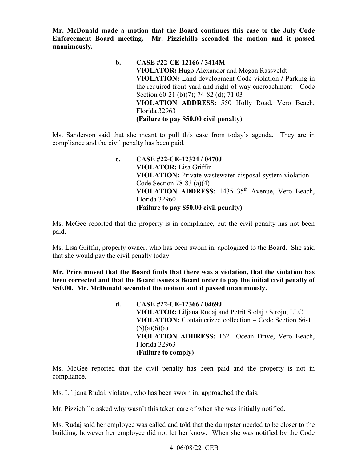**Enforcement Board meeting. Mr. Pizzichillo seconded the motion and it passed Mr. McDonald made a motion that the Board continues this case to the July Code unanimously.** 

> the required front yard and right-of-way encroachment – Code **b. CASE #22-CE-12166 / 3414M VIOLATOR:** Hugo Alexander and Megan Rassveldt **VIOLATION:** Land development Code violation **/** Parking in Section 60-21 (b)(7); 74-82 (d); 71.03 **VIOLATION ADDRESS:** 550 Holly Road, Vero Beach, Florida 32963 **(Failure to pay \$50.00 civil penalty)**

 Ms. Sanderson said that she meant to pull this case from today's agenda. They are in compliance and the civil penalty has been paid.

> **VIOLATION ADDRESS:** 1435 35th Avenue, Vero Beach, **c. CASE #22-CE-12324 / 0470J VIOLATOR:** Lisa Griffin **VIOLATION:** Private wastewater disposal system violation – Code Section  $78-83$  (a)(4) Florida 32960 **(Failure to pay \$50.00 civil penalty)**

Ms. McGee reported that the property is in compliance, but the civil penalty has not been paid.

Ms. Lisa Griffin, property owner, who has been sworn in, apologized to the Board. She said that she would pay the civil penalty today.

**Mr. Price moved that the Board finds that there was a violation, that the violation has been corrected and that the Board issues a Board order to pay the initial civil penalty of \$50.00. Mr. McDonald seconded the motion and it passed unanimously.** 

> **VIOLATION ADDRESS:** 1621 Ocean Drive, Vero Beach, **d. CASE #22-CE-12366 / 0469J VIOLATOR:** Liljana Rudaj and Petrit Stolaj / Stroju, LLC **VIOLATION:** Containerized collection – Code Section 66-11  $(5)(a)(6)(a)$ Florida 32963 **(Failure to comply)**

compliance. Ms. McGee reported that the civil penalty has been paid and the property is not in

Ms. Lilijana Rudaj, violator, who has been sworn in, approached the dais.

Mr. Pizzichillo asked why wasn't this taken care of when she was initially notified.

 Ms. Rudaj said her employee was called and told that the dumpster needed to be closer to the building, however her employee did not let her know. When she was notified by the Code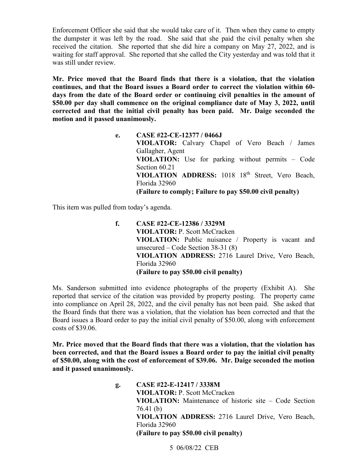the dumpster it was left by the road. She said that she paid the civil penalty when she Enforcement Officer she said that she would take care of it. Then when they came to empty received the citation. She reported that she did hire a company on May 27, 2022, and is waiting for staff approval. She reported that she called the City yesterday and was told that it was still under review.

 **Mr. Price moved that the Board finds that there is a violation, that the violation continues, and that the Board issues a Board order to correct the violation within 60 days from the date of the Board order or continuing civil penalties in the amount of \$50.00 per day shall commence on the original compliance date of May 3, 2022, until corrected and that the initial civil penalty has been paid. Mr. Daige seconded the motion and it passed unanimously.** 

**e. CASE #22-CE-12377 / 0466J** 

 **VIOLATION:** Use for parking without permits – Code **VIOLATION ADDRESS:** 1018 18th Street, Vero Beach,  **(Failure to comply; Failure to pay \$50.00 civil penalty) VIOLATOR:** Calvary Chapel of Vero Beach / James Gallagher, Agent Section 60.21 Florida 32960

This item was pulled from today's agenda.

**f. CASE #22-CE-12386 / 3329M VIOLATOR:** P. Scott McCracken **VIOLATION:** Public nuisance / Property is vacant and unsecured – Code Section 38-31 (8) **VIOLATION ADDRESS:** 2716 Laurel Drive, Vero Beach, Florida 32960 **(Failure to pay \$50.00 civil penalty)** 

 reported that service of the citation was provided by property posting. The property came Ms. Sanderson submitted into evidence photographs of the property (Exhibit A). She into compliance on April 28, 2022, and the civil penalty has not been paid. She asked that the Board finds that there was a violation, that the violation has been corrected and that the Board issues a Board order to pay the initial civil penalty of \$50.00, along with enforcement costs of \$39.06.

 **Mr. Price moved that the Board finds that there was a violation, that the violation has been corrected, and that the Board issues a Board order to pay the initial civil penalty of \$50.00, along with the cost of enforcement of \$39.06. Mr. Daige seconded the motion and it passed unanimously.** 

> **g. CASE #22-E-12417 / 3338M VIOLATOR:** P. Scott McCracken **VIOLATION:** Maintenance of historic site – Code Section 76.41 (b) **VIOLATION ADDRESS:** 2716 Laurel Drive, Vero Beach, Florida 32960 **(Failure to pay \$50.00 civil penalty)**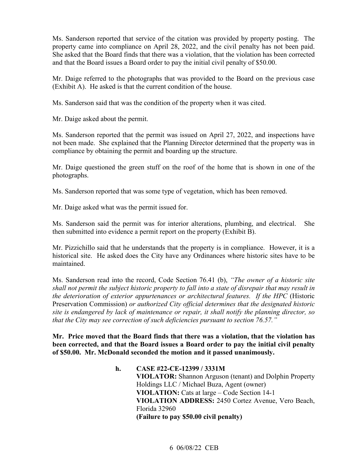She asked that the Board finds that there was a violation, that the violation has been corrected Ms. Sanderson reported that service of the citation was provided by property posting. The property came into compliance on April 28, 2022, and the civil penalty has not been paid. and that the Board issues a Board order to pay the initial civil penalty of \$50.00.

 (Exhibit A). He asked is that the current condition of the house. Mr. Daige referred to the photographs that was provided to the Board on the previous case

Ms. Sanderson said that was the condition of the property when it was cited.

Mr. Daige asked about the permit.

 not been made. She explained that the Planning Director determined that the property was in compliance by obtaining the permit and boarding up the structure. Ms. Sanderson reported that the permit was issued on April 27, 2022, and inspections have

Mr. Daige questioned the green stuff on the roof of the home that is shown in one of the photographs.

Ms. Sanderson reported that was some type of vegetation, which has been removed.

Mr. Daige asked what was the permit issued for.

 Ms. Sanderson said the permit was for interior alterations, plumbing, and electrical. She then submitted into evidence a permit report on the property (Exhibit B).

Mr. Pizzichillo said that he understands that the property is in compliance. However, it is a historical site. He asked does the City have any Ordinances where historic sites have to be maintained.

 *shall not permit the subject historic property to fall into a state of disrepair that may result in*  Ms. Sanderson read into the record, Code Section 76.41 (b), *"The owner of a historic site the deterioration of exterior appurtenances or architectural features. If the HPC* (Historic Preservation Commission) *or authorized City official determines that the designated historic site is endangered by lack of maintenance or repair, it shall notify the planning director, so that the City may see correction of such deficiencies pursuant to section 76.57."* 

 **Mr. Price moved that the Board finds that there was a violation, that the violation has been corrected, and that the Board issues a Board order to pay the initial civil penalty of \$50.00. Mr. McDonald seconded the motion and it passed unanimously.** 

> **h. CASE #22-CE-12399 / 3331M VIOLATOR:** Shannon Arguson (tenant) and Dolphin Property Holdings LLC / Michael Buza, Agent (owner) **VIOLATION:** Cats at large – Code Section 14-1 **VIOLATION ADDRESS:** 2450 Cortez Avenue, Vero Beach, Florida 32960 **(Failure to pay \$50.00 civil penalty)**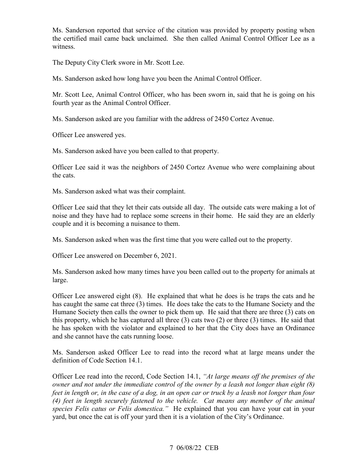the certified mail came back unclaimed. She then called Animal Control Officer Lee as a Ms. Sanderson reported that service of the citation was provided by property posting when witness.

The Deputy City Clerk swore in Mr. Scott Lee.

Ms. Sanderson asked how long have you been the Animal Control Officer.

Mr. Scott Lee, Animal Control Officer, who has been sworn in, said that he is going on his fourth year as the Animal Control Officer.

Ms. Sanderson asked are you familiar with the address of 2450 Cortez Avenue.

Officer Lee answered yes.

Ms. Sanderson asked have you been called to that property.

the cats. Officer Lee said it was the neighbors of 2450 Cortez Avenue who were complaining about

Ms. Sanderson asked what was their complaint.

 Officer Lee said that they let their cats outside all day. The outside cats were making a lot of noise and they have had to replace some screens in their home. He said they are an elderly couple and it is becoming a nuisance to them.

Ms. Sanderson asked when was the first time that you were called out to the property.

Officer Lee answered on December 6, 2021.

Ms. Sanderson asked how many times have you been called out to the property for animals at large.

 has caught the same cat three (3) times. He does take the cats to the Humane Society and the Humane Society then calls the owner to pick them up. He said that there are three (3) cats on this property, which he has captured all three (3) cats two (2) or three (3) times. He said that Officer Lee answered eight (8). He explained that what he does is he traps the cats and he he has spoken with the violator and explained to her that the City does have an Ordinance and she cannot have the cats running loose.

 Ms. Sanderson asked Officer Lee to read into the record what at large means under the definition of Code Section 14.1.

 Officer Lee read into the record, Code Section 14.1, *"At large means off the premises of the species Felis catus or Felis domestica."* He explained that you can have your cat in your yard, but once the cat is off your yard then it is a violation of the City's Ordinance. *owner and not under the immediate control of the owner by a leash not longer than eight (8) feet in length or, in the case of a dog, in an open car or truck by a leash not longer than four (4) feet in length securely fastened to the vehicle. Cat means any member of the animal*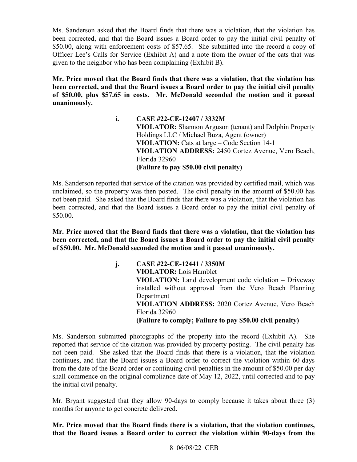Ms. Sanderson asked that the Board finds that there was a violation, that the violation has been corrected, and that the Board issues a Board order to pay the initial civil penalty of \$50.00, along with enforcement costs of \$57.65. She submitted into the record a copy of Officer Lee's Calls for Service (Exhibit A) and a note from the owner of the cats that was given to the neighbor who has been complaining (Exhibit B).

 **Mr. Price moved that the Board finds that there was a violation, that the violation has of \$50.00, plus \$57.65 in costs. Mr. McDonald seconded the motion and it passed been corrected, and that the Board issues a Board order to pay the initial civil penalty unanimously.** 

> **i. CASE #22-CE-12407 / 3332M VIOLATOR:** Shannon Arguson (tenant) and Dolphin Property Holdings LLC / Michael Buza, Agent (owner) **VIOLATION:** Cats at large – Code Section 14-1 **VIOLATION ADDRESS:** 2450 Cortez Avenue, Vero Beach, Florida 32960 **(Failure to pay \$50.00 civil penalty)**

 Ms. Sanderson reported that service of the citation was provided by certified mail, which was been corrected, and that the Board issues a Board order to pay the initial civil penalty of unclaimed, so the property was then posted. The civil penalty in the amount of \$50.00 has not been paid. She asked that the Board finds that there was a violation, that the violation has \$50.00.

 **Mr. Price moved that the Board finds that there was a violation, that the violation has been corrected, and that the Board issues a Board order to pay the initial civil penalty of \$50.00. Mr. McDonald seconded the motion and it passed unanimously.** 

> **(Failure to comply; Failure to pay \$50.00 civil penalty) j. CASE #22-CE-12441 / 3350M VIOLATOR:** Lois Hamblet **VIOLATION:** Land development code violation – Driveway installed without approval from the Vero Beach Planning Department **VIOLATION ADDRESS:** 2020 Cortez Avenue, Vero Beach Florida 32960

 the initial civil penalty. Ms. Sanderson submitted photographs of the property into the record (Exhibit A). She reported that service of the citation was provided by property posting. The civil penalty has not been paid. She asked that the Board finds that there is a violation, that the violation continues, and that the Board issues a Board order to correct the violation within 60-days from the date of the Board order or continuing civil penalties in the amount of \$50.00 per day shall commence on the original compliance date of May 12, 2022, until corrected and to pay

Mr. Bryant suggested that they allow 90-days to comply because it takes about three (3) months for anyone to get concrete delivered.

 **Mr. Price moved that the Board finds there is a violation, that the violation continues, that the Board issues a Board order to correct the violation within 90-days from the**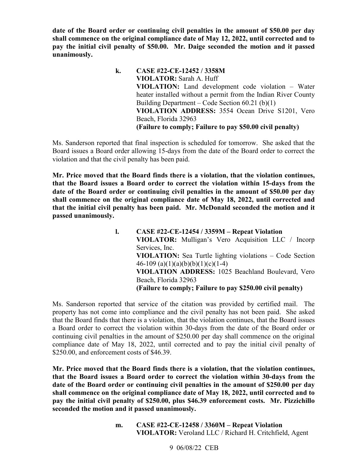**date of the Board order or continuing civil penalties in the amount of \$50.00 per day shall commence on the original compliance date of May 12, 2022, until corrected and to pay the initial civil penalty of \$50.00. Mr. Daige seconded the motion and it passed unanimously.** 

> **VIOLATION:** Land development code violation – Water  **(Failure to comply; Failure to pay \$50.00 civil penalty) k. CASE #22-CE-12452 / 3358M VIOLATOR:** Sarah A. Huff heater installed without a permit from the Indian River County Building Department – Code Section 60.21 (b)(1) **VIOLATION ADDRESS:** 3554 Ocean Drive S1201, Vero Beach, Florida 32963

Ms. Sanderson reported that final inspection is scheduled for tomorrow. She asked that the Board issues a Board order allowing 15-days from the date of the Board order to correct the violation and that the civil penalty has been paid.

 **Mr. Price moved that the Board finds there is a violation, that the violation continues, that the initial civil penalty has been paid. Mr. McDonald seconded the motion and it that the Board issues a Board order to correct the violation within 15-days from the date of the Board order or continuing civil penalties in the amount of \$50.00 per day shall commence on the original compliance date of May 18, 2022, until corrected and passed unanimously.** 

> **VIOLATOR:** Mulligan's Vero Acquisition LLC / Incorp **l. CASE #22-CE-12454 / 3359M – Repeat Violation**  Services, Inc. **VIOLATION:** Sea Turtle lighting violations – Code Section 46-109 (a)(1)(a)(b)(b)(1)(c)(1-4) **VIOLATION ADDRESS:** 1025 Beachland Boulevard, Vero Beach, Florida 32963 **(Failure to comply; Failure to pay \$250.00 civil penalty)**

 Ms. Sanderson reported that service of the citation was provided by certified mail. The property has not come into compliance and the civil penalty has not been paid. She asked that the Board finds that there is a violation, that the violation continues, that the Board issues a Board order to correct the violation within 30-days from the date of the Board order or continuing civil penalties in the amount of \$250.00 per day shall commence on the original compliance date of May 18, 2022, until corrected and to pay the initial civil penalty of \$250.00, and enforcement costs of \$46.39.

 **Mr. Price moved that the Board finds there is a violation, that the violation continues, pay the initial civil penalty of \$250.00, plus \$46.39 enforcement costs. Mr. Pizzichillo that the Board issues a Board order to correct the violation within 30-days from the date of the Board order or continuing civil penalties in the amount of \$250.00 per day shall commence on the original compliance date of May 18, 2022, until corrected and to seconded the motion and it passed unanimously.** 

> **m. CASE #22-CE-12458 / 3360M – Repeat Violation VIOLATOR:** Veroland LLC / Richard H. Critchfield, Agent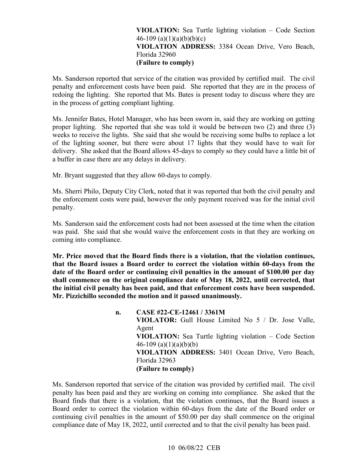### **VIOLATION ADDRESS:** 3384 Ocean Drive, Vero Beach, **VIOLATION:** Sea Turtle lighting violation – Code Section 46-109 (a)(1)(a)(b)(b)(c) Florida 32960 **(Failure to comply)**

 Ms. Sanderson reported that service of the citation was provided by certified mail. The civil redoing the lighting. She reported that Ms. Bates is present today to discuss where they are in the process of getting compliant lighting. penalty and enforcement costs have been paid. She reported that they are in the process of

 Ms. Jennifer Bates, Hotel Manager, who has been sworn in, said they are working on getting proper lighting. She reported that she was told it would be between two (2) and three (3) weeks to receive the lights. She said that she would be receiving some bulbs to replace a lot of the lighting sooner, but there were about 17 lights that they would have to wait for delivery. She asked that the Board allows 45-days to comply so they could have a little bit of a buffer in case there are any delays in delivery.

Mr. Bryant suggested that they allow 60-days to comply.

Ms. Sherri Philo, Deputy City Clerk, noted that it was reported that both the civil penalty and the enforcement costs were paid, however the only payment received was for the initial civil penalty.

 was paid. She said that she would waive the enforcement costs in that they are working on Ms. Sanderson said the enforcement costs had not been assessed at the time when the citation coming into compliance.

 **Mr. Price moved that the Board finds there is a violation, that the violation continues, the initial civil penalty has been paid, and that enforcement costs have been suspended. Mr. Pizzichillo seconded the motion and it passed unanimously. that the Board issues a Board order to correct the violation within 60-days from the date of the Board order or continuing civil penalties in the amount of \$100.00 per day shall commence on the original compliance date of May 18, 2022, until corrected, that** 

> **VIOLATION:** Sea Turtle lighting violation – Code Section **VIOLATION ADDRESS:** 3401 Ocean Drive, Vero Beach, **n. CASE #22-CE-12461 / 3361M VIOLATOR:** Gull House Limited No 5 / Dr. Jose Valle, Agent 46-109 (a)(1)(a)(b)(b) Florida 32963 **(Failure to comply)**

 Ms. Sanderson reported that service of the citation was provided by certified mail. The civil penalty has been paid and they are working on coming into compliance. She asked that the Board finds that there is a violation, that the violation continues, that the Board issues a Board order to correct the violation within 60-days from the date of the Board order or continuing civil penalties in the amount of \$50.00 per day shall commence on the original compliance date of May 18, 2022, until corrected and to that the civil penalty has been paid.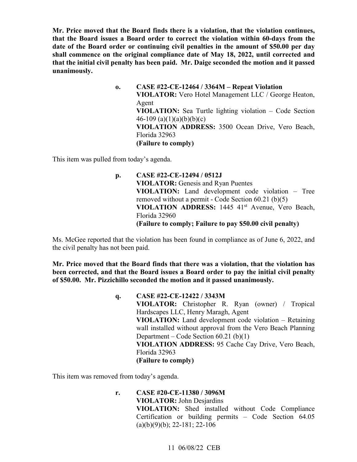**Mr. Price moved that the Board finds there is a violation, that the violation continues, that the Board issues a Board order to correct the violation within 60-days from the date of the Board order or continuing civil penalties in the amount of \$50.00 per day shall commence on the original compliance date of May 18, 2022, until corrected and that the initial civil penalty has been paid. Mr. Daige seconded the motion and it passed unanimously.** 

> **VIOLATION ADDRESS:** 3500 Ocean Drive, Vero Beach, **o. CASE #22-CE-12464 / 3364M – Repeat Violation VIOLATOR:** Vero Hotel Management LLC / George Heaton, Agent **VIOLATION:** Sea Turtle lighting violation – Code Section 46-109 (a)(1)(a)(b)(b)(c) Florida 32963 **(Failure to comply)**

This item was pulled from today's agenda.

 removed without a permit - Code Section 60.21 (b)(5) VIOLATION ADDRESS: 1445 41<sup>st</sup> Avenue, Vero Beach,  **(Failure to comply; Failure to pay \$50.00 civil penalty) p. CASE #22-CE-12494 / 0512J VIOLATOR:** Genesis and Ryan Puentes **VIOLATION:** Land development code violation – Tree Florida 32960

Ms. McGee reported that the violation has been found in compliance as of June 6, 2022, and the civil penalty has not been paid.

 **Mr. Price moved that the Board finds that there was a violation, that the violation has been corrected, and that the Board issues a Board order to pay the initial civil penalty of \$50.00. Mr. Pizzichillo seconded the motion and it passed unanimously.** 

> Hardscapes LLC, Henry Maragh, Agent **q. CASE #22-CE-12422 / 3343M VIOLATOR:** Christopher R. Ryan (owner) / Tropical **VIOLATION:** Land development code violation – Retaining wall installed without approval from the Vero Beach Planning Department – Code Section 60.21 (b)(1) **VIOLATION ADDRESS:** 95 Cache Cay Drive, Vero Beach, Florida 32963 **(Failure to comply)**

This item was removed from today's agenda.

**r. CASE #20-CE-11380 / 3096M VIOLATOR:** John Desjardins **VIOLATION:** Shed installed without Code Compliance Certification or building permits – Code Section 64.05  $(a)(b)(9)(b)$ ; 22-181; 22-106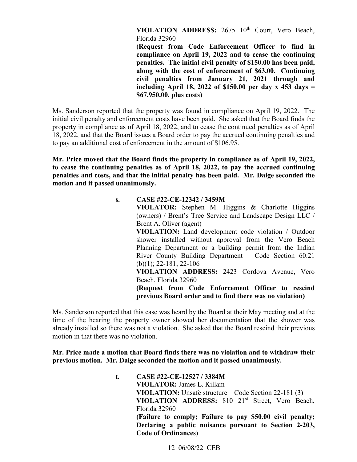**VIOLATION ADDRESS:** 2675 10th Court, Vero Beach, Florida 32960

**(Request from Code Enforcement Officer to find in compliance on April 19, 2022 and to cease the continuing penalties. The initial civil penalty of \$150.00 has been paid, along with the cost of enforcement of \$63.00. Continuing civil penalties from January 21, 2021 through and including April 18, 2022 of \$150.00 per day x 453 days = \$[67,950.00](https://67,950.00), plus costs)** 

 18, 2022, and that the Board issues a Board order to pay the accrued continuing penalties and to pay an additional cost of enforcement in the amount of \$106.95. Ms. Sanderson reported that the property was found in compliance on April 19, 2022. The initial civil penalty and enforcement costs have been paid. She asked that the Board finds the property in compliance as of April 18, 2022, and to cease the continued penalties as of April

 **penalties and costs, and that the initial penalty has been paid. Mr. Daige seconded the Mr. Price moved that the Board finds the property in compliance as of April 19, 2022, to cease the continuing penalties as of April 18, 2022, to pay the accrued continuing motion and it passed unanimously.** 

| S. | CASE #22-CE-12342 / 3459M                                  |
|----|------------------------------------------------------------|
|    | VIOLATOR: Stephen M. Higgins & Charlotte Higgins           |
|    | (owners) / Brent's Tree Service and Landscape Design LLC / |
|    | Brent A. Oliver (agent)                                    |
|    | VIOLATION: Land development code violation / Outdoor       |
|    | shower installed without approval from the Vero Beach      |
|    | Planning Department or a building permit from the Indian   |
|    | River County Building Department – Code Section 60.21      |
|    | $(b)(1); 22-181; 22-106$                                   |
|    | VIOLATION ADDRESS: 2423 Cordova Avenue, Vero               |
|    | Beach, Florida 32960                                       |
|    | (Request from Code Enforcement Officer to rescind          |
|    | previous Board order and to find there was no violation)   |

 time of the hearing the property owner showed her documentation that the shower was already installed so there was not a violation. She asked that the Board rescind their previous Ms. Sanderson reported that this case was heard by the Board at their May meeting and at the motion in that there was no violation.

**Mr. Price made a motion that Board finds there was no violation and to withdraw their previous motion. Mr. Daige seconded the motion and it passed unanimously.** 

> **VIOLATION ADDRESS:** 810 21st Street, Vero Beach, **t. CASE #22-CE-12527 / 3384M VIOLATOR:** James L. Killam **VIOLATION:** Unsafe structure – Code Section 22-181 (3) Florida 32960 **(Failure to comply; Failure to pay \$50.00 civil penalty; Declaring a public nuisance pursuant to Section 2-203, Code of Ordinances)**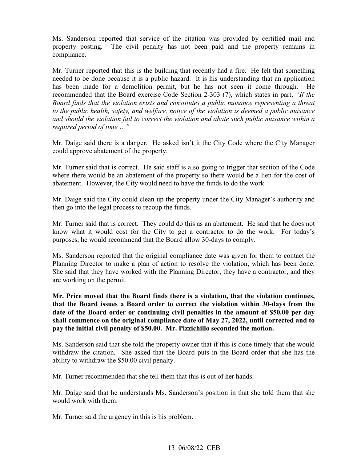Ms. Sanderson reported that service of the citation was provided by certified mail and property posting. The civil penalty has not been paid and the property remains in compliance.

Board finds that the violation exists and constitutes a public nuisance representing a threat Mr. Turner reported that this is the building that recently had a fire. He felt that something needed to be done because it is a public hazard. It is his understanding that an application has been made for a demolition permit, but he has not seen it come through. He recommended that the Board exercise Code Section 2-303 (7), which states in part, *"If the to the public health, safety, and welfare, notice of the violation is deemed a public nuisance and should the violation fail to correct the violation and abate such public nuisance within a required period of time …"* 

 Mr. Daige said there is a danger. He asked isn't it the City Code where the City Manager could approve abatement of the property.

 where there would be an abatement of the property so there would be a lien for the cost of Mr. Turner said that is correct. He said staff is also going to trigger that section of the Code abatement. However, the City would need to have the funds to do the work.

Mr. Daige said the City could clean up the property under the City Manager's authority and then go into the legal process to recoup the funds.

Mr. Turner said that is correct. They could do this as an abatement. He said that he does not know what it would cost for the City to get a contractor to do the work. For today's purposes, he would recommend that the Board allow 30-days to comply.

Planning Director to make a plan of action to resolve the violation, which has been done. Ms. Sanderson reported that the original compliance date was given for them to contact the She said that they have worked with the Planning Director, they have a contractor, and they are working on the permit.

**Mr. Price moved that the Board finds there is a violation, that the violation continues, that the Board issues a Board order to correct the violation within 30-days from the date of the Board order or continuing civil penalties in the amount of \$50.00 per day shall commence on the original compliance date of May 27, 2022, until corrected and to pay the initial civil penalty of \$50.00. Mr. Pizzichillo seconded the motion.** 

 Ms. Sanderson said that she told the property owner that if this is done timely that she would withdraw the citation. She asked that the Board puts in the Board order that she has the ability to withdraw the \$50.00 civil penalty.

Mr. Turner recommended that she tell them that this is out of her hands.

Mr. Daige said that he understands Ms. Sanderson's position in that she told them that she would work with them.

Mr. Turner said the urgency in this is his problem.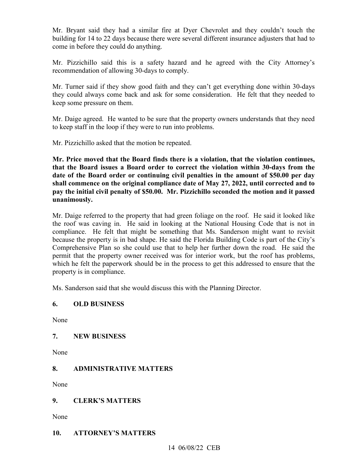Mr. Bryant said they had a similar fire at Dyer Chevrolet and they couldn't touch the building for 14 to 22 days because there were several different insurance adjusters that had to come in before they could do anything.

 recommendation of allowing 30-days to comply. Mr. Pizzichillo said this is a safety hazard and he agreed with the City Attorney's

Mr. Turner said if they show good faith and they can't get everything done within 30-days they could always come back and ask for some consideration. He felt that they needed to keep some pressure on them.

Mr. Daige agreed. He wanted to be sure that the property owners understands that they need to keep staff in the loop if they were to run into problems.

Mr. Pizzichillo asked that the motion be repeated.

 **Mr. Price moved that the Board finds there is a violation, that the violation continues, pay the initial civil penalty of \$50.00. Mr. Pizzichillo seconded the motion and it passed that the Board issues a Board order to correct the violation within 30-days from the date of the Board order or continuing civil penalties in the amount of \$50.00 per day shall commence on the original compliance date of May 27, 2022, until corrected and to unanimously.** 

 Comprehensive Plan so she could use that to help her further down the road. He said the Mr. Daige referred to the property that had green foliage on the roof. He said it looked like the roof was caving in. He said in looking at the National Housing Code that is not in compliance. He felt that might be something that Ms. Sanderson might want to revisit because the property is in bad shape. He said the Florida Building Code is part of the City's permit that the property owner received was for interior work, but the roof has problems, which he felt the paperwork should be in the process to get this addressed to ensure that the property is in compliance.

Ms. Sanderson said that she would discuss this with the Planning Director.

### **6. OLD BUSINESS**

None

#### **7. NEW BUSINESS**

None

### **8. ADMINISTRATIVE MATTERS**

None

### **9. CLERK'S MATTERS**

None

### **10. ATTORNEY'S MATTERS**